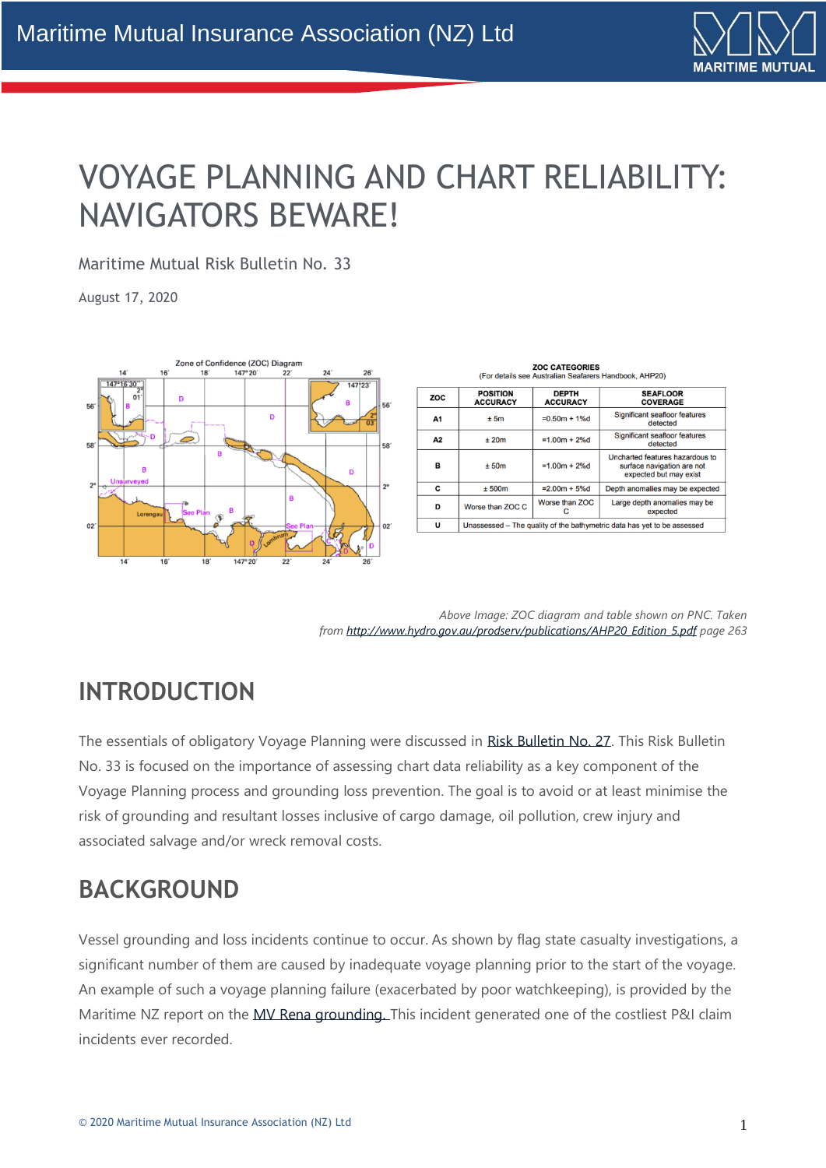

# VOYAGE PLANNING AND CHART RELIABILITY: NAVIGATORS BEWARE!

Maritime Mutual Risk Bulletin No. 33

August 17, 2020



| <b>ZOC CATEGORIES</b><br>(For details see Australian Seafarers Handbook, AHP20) |                                                                         |                                 |                                                                                         |  |  |  |
|---------------------------------------------------------------------------------|-------------------------------------------------------------------------|---------------------------------|-----------------------------------------------------------------------------------------|--|--|--|
| ZOC                                                                             | <b>POSITION</b><br><b>ACCURACY</b>                                      | <b>DEPTH</b><br><b>ACCURACY</b> | <b>SEAFLOOR</b><br><b>COVERAGE</b>                                                      |  |  |  |
| A1                                                                              | ± 5m                                                                    | $= 0.50m + 1%$                  | Significant seafloor features<br>detected                                               |  |  |  |
| А2                                                                              | ±20m                                                                    | $=1.00m + 2%$ d                 | Significant seafloor features<br>detected                                               |  |  |  |
| R                                                                               | ± 50m                                                                   | $=1.00m + 2%$                   | Uncharted features hazardous to<br>surface navigation are not<br>expected but may exist |  |  |  |
| C                                                                               | ± 500m                                                                  | $= 2.00m + 5%d$                 | Depth anomalies may be expected                                                         |  |  |  |
| D                                                                               | Worse than ZOC C                                                        | Worse than ZOC<br>с             | Large depth anomalies may be<br>expected                                                |  |  |  |
| U                                                                               | Unassessed – The quality of the bathymetric data has yet to be assessed |                                 |                                                                                         |  |  |  |

*Above Image: ZOC diagram and table shown on PNC. Taken from [http://www.hydro.gov.au/prodserv/publications/AHP20\\_Edition\\_5.pdf](http://www.hydro.gov.au/prodserv/publications/AHP20_Edition_5.pdf) page 263*

## **INTRODUCTION**

The essentials of obligatory Voyage Planning were discussed in [Risk Bulletin No. 27.](https://maritime-mutual.com/blog/2020/04/21/voyage-planning-best-practice-much-more-than-just-a-waypoint-list/) This Risk Bulletin No. 33 is focused on the importance of assessing chart data reliability as a key component of the Voyage Planning process and grounding loss prevention. The goal is to avoid or at least minimise the risk of grounding and resultant losses inclusive of cargo damage, oil pollution, crew injury and associated salvage and/or wreck removal costs.

#### **BACKGROUND**

Vessel grounding and loss incidents continue to occur. As shown by flag state casualty investigations, a significant number of them are caused by inadequate voyage planning prior to the start of the voyage. An example of such a voyage planning failure (exacerbated by poor watchkeeping), is provided by the Maritime NZ report on the [MV Rena grounding.](https://www.maritimenz.govt.nz/magazines/safe-seas-clean-seas/issue-48/issue-48-10.asp) This incident generated one of the costliest P&I claim incidents ever recorded.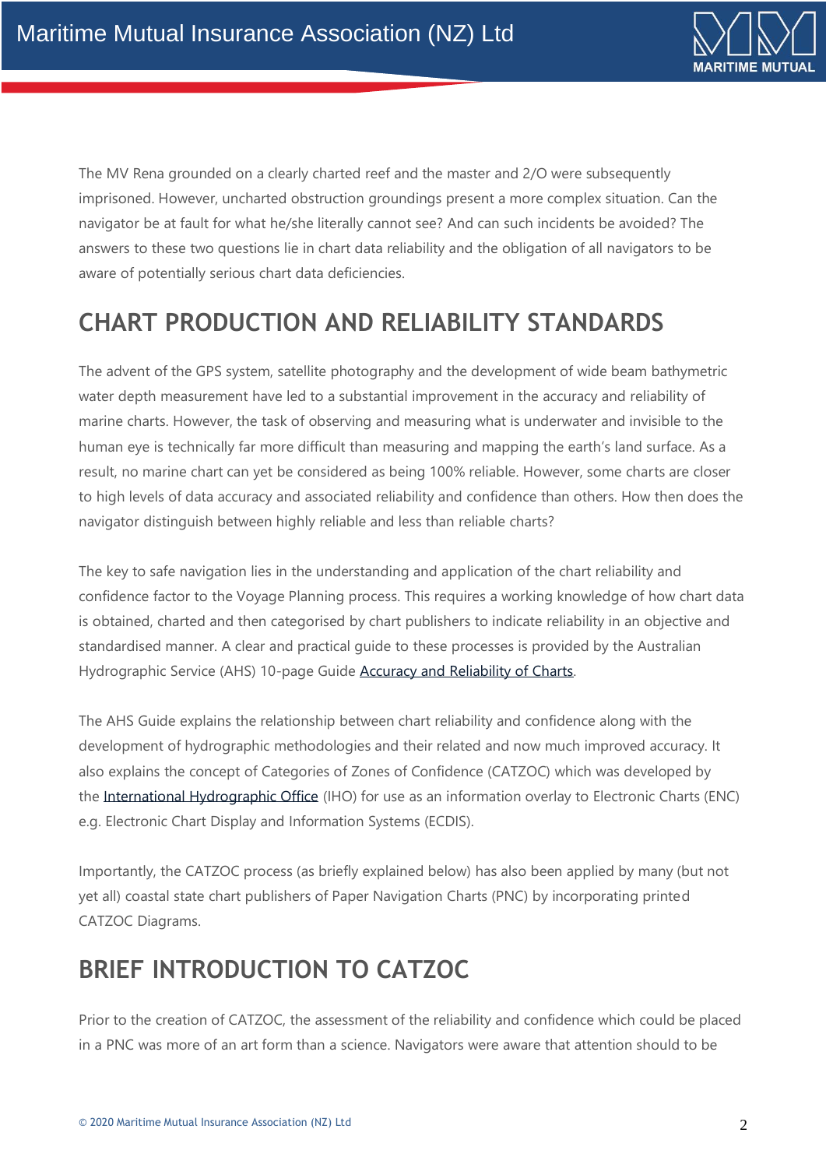

The MV Rena grounded on a clearly charted reef and the master and 2/O were subsequently imprisoned. However, uncharted obstruction groundings present a more complex situation. Can the navigator be at fault for what he/she literally cannot see? And can such incidents be avoided? The answers to these two questions lie in chart data reliability and the obligation of all navigators to be aware of potentially serious chart data deficiencies.

# **CHART PRODUCTION AND RELIABILITY STANDARDS**

The advent of the GPS system, satellite photography and the development of wide beam bathymetric water depth measurement have led to a substantial improvement in the accuracy and reliability of marine charts. However, the task of observing and measuring what is underwater and invisible to the human eye is technically far more difficult than measuring and mapping the earth's land surface. As a result, no marine chart can yet be considered as being 100% reliable. However, some charts are closer to high levels of data accuracy and associated reliability and confidence than others. How then does the navigator distinguish between highly reliable and less than reliable charts?

The key to safe navigation lies in the understanding and application of the chart reliability and confidence factor to the Voyage Planning process. This requires a working knowledge of how chart data is obtained, charted and then categorised by chart publishers to indicate reliability in an objective and standardised manner. A clear and practical guide to these processes is provided by the Australian Hydrographic Service (AHS) 10-page Guide Accuracy and [Reliability of Charts.](http://www.hydro.gov.au/prodserv/important-info/accuracy_and_reliability_of_charts.pdf)

The AHS Guide explains the relationship between chart reliability and confidence along with the development of hydrographic methodologies and their related and now much improved accuracy. It also explains the concept of Categories of Zones of Confidence (CATZOC) which was developed by the [International Hydrographic Office](http://www.hydro.gov.au/prodserv/publications/AHP20_Edition_5.pdf) (IHO) for use as an information overlay to Electronic Charts (ENC) e.g. Electronic Chart Display and Information Systems (ECDIS).

Importantly, the CATZOC process (as briefly explained below) has also been applied by many (but not yet all) coastal state chart publishers of Paper Navigation Charts (PNC) by incorporating printed CATZOC Diagrams.

## **BRIEF INTRODUCTION TO CATZOC**

Prior to the creation of CATZOC, the assessment of the reliability and confidence which could be placed in a PNC was more of an art form than a science. Navigators were aware that attention should to be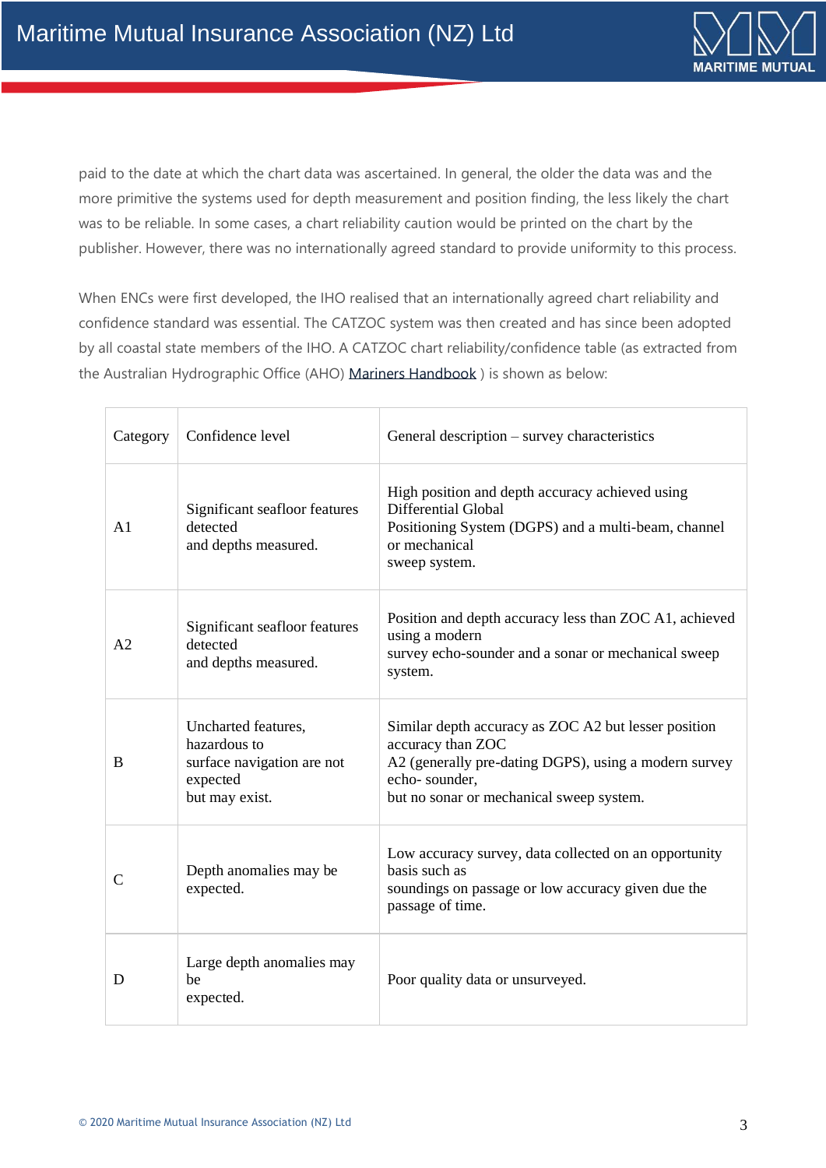

paid to the date at which the chart data was ascertained. In general, the older the data was and the more primitive the systems used for depth measurement and position finding, the less likely the chart was to be reliable. In some cases, a chart reliability caution would be printed on the chart by the publisher. However, there was no internationally agreed standard to provide uniformity to this process.

When ENCs were first developed, the IHO realised that an internationally agreed chart reliability and confidence standard was essential. The CATZOC system was then created and has since been adopted by all coastal state members of the IHO. A CATZOC chart reliability/confidence table (as extracted from the Australian Hydrographic Office (AHO) [Mariners Handbook](http://www.hydro.gov.au/prodserv/publications/AHP20_Edition_5.pdf) ) is shown as below:

| Category       | Confidence level                                                                                | General description – survey characteristics                                                                                                                                                    |
|----------------|-------------------------------------------------------------------------------------------------|-------------------------------------------------------------------------------------------------------------------------------------------------------------------------------------------------|
| A <sub>1</sub> | Significant seafloor features<br>detected<br>and depths measured.                               | High position and depth accuracy achieved using<br>Differential Global<br>Positioning System (DGPS) and a multi-beam, channel<br>or mechanical<br>sweep system.                                 |
| A <sub>2</sub> | Significant seafloor features<br>detected<br>and depths measured.                               | Position and depth accuracy less than ZOC A1, achieved<br>using a modern<br>survey echo-sounder and a sonar or mechanical sweep<br>system.                                                      |
| B              | Uncharted features,<br>hazardous to<br>surface navigation are not<br>expected<br>but may exist. | Similar depth accuracy as ZOC A2 but lesser position<br>accuracy than ZOC<br>A2 (generally pre-dating DGPS), using a modern survey<br>echo-sounder,<br>but no sonar or mechanical sweep system. |
| $\mathcal{C}$  | Depth anomalies may be<br>expected.                                                             | Low accuracy survey, data collected on an opportunity<br>basis such as<br>soundings on passage or low accuracy given due the<br>passage of time.                                                |
| D              | Large depth anomalies may<br>be<br>expected.                                                    | Poor quality data or unsurveyed.                                                                                                                                                                |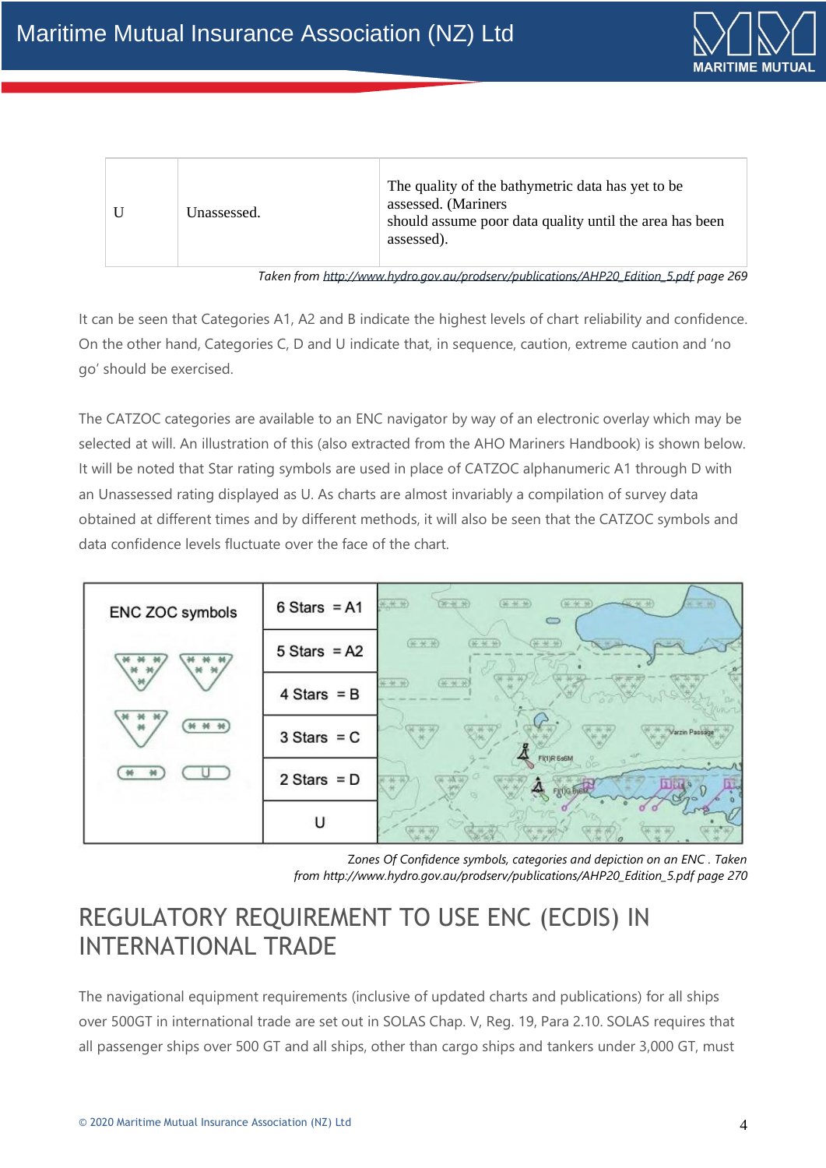

| Unassessed. | The quality of the bathymetric data has yet to be.<br>assessed. (Mariners<br>should assume poor data quality until the area has been<br>assessed). |
|-------------|----------------------------------------------------------------------------------------------------------------------------------------------------|
|             |                                                                                                                                                    |

*Taken from [http://www.hydro.gov.au/prodserv/publications/AHP20\\_Edition\\_5.pdf](http://www.hydro.gov.au/prodserv/publications/AHP20_Edition_5.pdf) page 269*

It can be seen that Categories A1, A2 and B indicate the highest levels of chart reliability and confidence. On the other hand, Categories C, D and U indicate that, in sequence, caution, extreme caution and 'no go' should be exercised.

The CATZOC categories are available to an ENC navigator by way of an electronic overlay which may be selected at will. An illustration of this (also extracted from the AHO Mariners Handbook) is shown below. It will be noted that Star rating symbols are used in place of CATZOC alphanumeric A1 through D with an Unassessed rating displayed as U. As charts are almost invariably a compilation of survey data obtained at different times and by different methods, it will also be seen that the CATZOC symbols and data confidence levels fluctuate over the face of the chart.



Z*ones Of Confidence symbols, categories and depiction on an ENC . Taken from [http://www.hydro.gov.au/prodserv/publications/AHP20\\_Edition\\_5.pdf](http://www.hydro.gov.au/prodserv/publications/AHP20_Edition_5.pdf) page 270*

### REGULATORY REQUIREMENT TO USE ENC (ECDIS) IN INTERNATIONAL TRADE

The navigational equipment requirements (inclusive of updated charts and publications) for all ships over 500GT in international trade are set out in SOLAS Chap. V, Reg. 19, Para 2.10. SOLAS requires that all passenger ships over 500 GT and all ships, other than cargo ships and tankers under 3,000 GT, must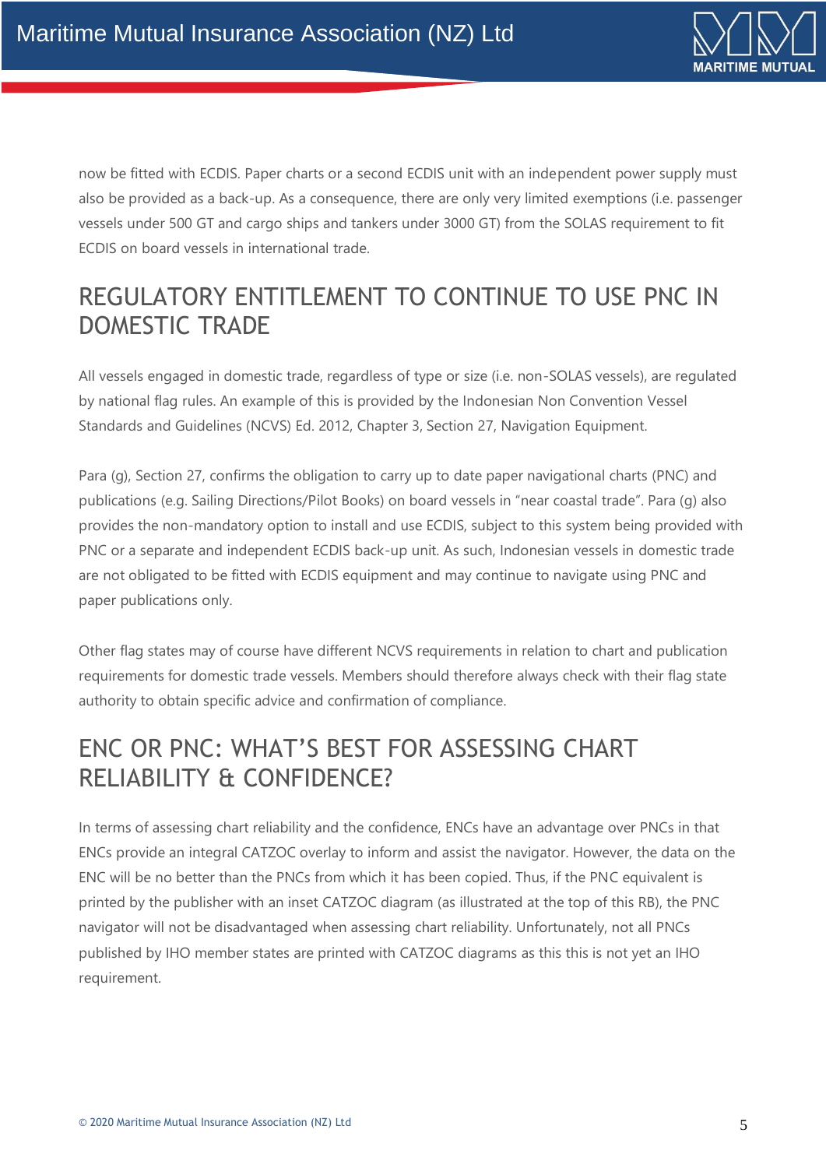

now be fitted with ECDIS. Paper charts or a second ECDIS unit with an independent power supply must also be provided as a back-up. As a consequence, there are only very limited exemptions (i.e. passenger vessels under 500 GT and cargo ships and tankers under 3000 GT) from the SOLAS requirement to fit ECDIS on board vessels in international trade.

## REGULATORY ENTITLEMENT TO CONTINUE TO USE PNC IN DOMESTIC TRADE

All vessels engaged in domestic trade, regardless of type or size (i.e. non-SOLAS vessels), are regulated by national flag rules. An example of this is provided by the Indonesian Non Convention Vessel Standards and Guidelines (NCVS) Ed. 2012, Chapter 3, Section 27, Navigation Equipment.

Para (g), Section 27, confirms the obligation to carry up to date paper navigational charts (PNC) and publications (e.g. Sailing Directions/Pilot Books) on board vessels in "near coastal trade". Para (g) also provides the non-mandatory option to install and use ECDIS, subject to this system being provided with PNC or a separate and independent ECDIS back-up unit. As such, Indonesian vessels in domestic trade are not obligated to be fitted with ECDIS equipment and may continue to navigate using PNC and paper publications only.

Other flag states may of course have different NCVS requirements in relation to chart and publication requirements for domestic trade vessels. Members should therefore always check with their flag state authority to obtain specific advice and confirmation of compliance.

### ENC OR PNC: WHAT'S BEST FOR ASSESSING CHART RELIABILITY & CONFIDENCE?

In terms of assessing chart reliability and the confidence, ENCs have an advantage over PNCs in that ENCs provide an integral CATZOC overlay to inform and assist the navigator. However, the data on the ENC will be no better than the PNCs from which it has been copied. Thus, if the PNC equivalent is printed by the publisher with an inset CATZOC diagram (as illustrated at the top of this RB), the PNC navigator will not be disadvantaged when assessing chart reliability. Unfortunately, not all PNCs published by IHO member states are printed with CATZOC diagrams as this this is not yet an IHO requirement.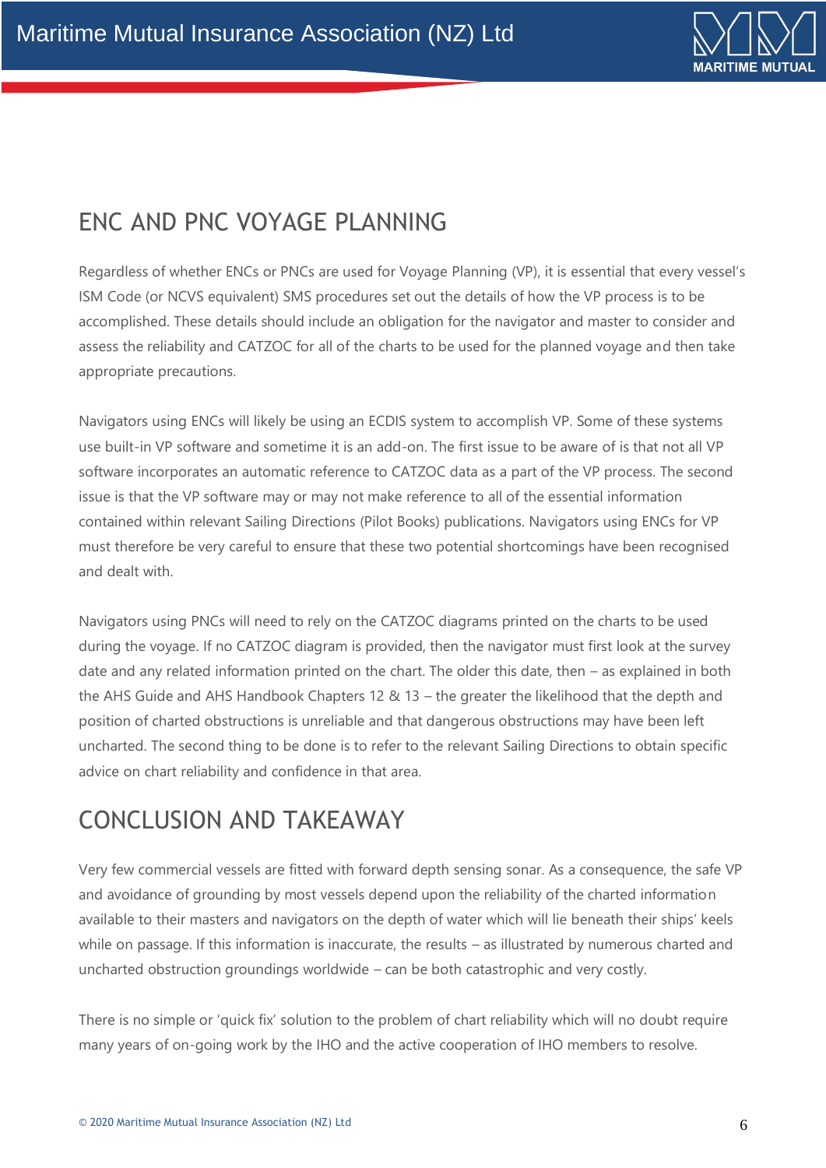

# ENC AND PNC VOYAGE PLANNING

Regardless of whether ENCs or PNCs are used for Voyage Planning (VP), it is essential that every vessel's ISM Code (or NCVS equivalent) SMS procedures set out the details of how the VP process is to be accomplished. These details should include an obligation for the navigator and master to consider and assess the reliability and CATZOC for all of the charts to be used for the planned voyage and then take appropriate precautions.

Navigators using ENCs will likely be using an ECDIS system to accomplish VP. Some of these systems use built-in VP software and sometime it is an add-on. The first issue to be aware of is that not all VP software incorporates an automatic reference to CATZOC data as a part of the VP process. The second issue is that the VP software may or may not make reference to all of the essential information contained within relevant Sailing Directions (Pilot Books) publications. Navigators using ENCs for VP must therefore be very careful to ensure that these two potential shortcomings have been recognised and dealt with.

Navigators using PNCs will need to rely on the CATZOC diagrams printed on the charts to be used during the voyage. If no CATZOC diagram is provided, then the navigator must first look at the survey date and any related information printed on the chart. The older this date, then – as explained in both the AHS Guide and AHS Handbook Chapters 12 & 13 – the greater the likelihood that the depth and position of charted obstructions is unreliable and that dangerous obstructions may have been left uncharted. The second thing to be done is to refer to the relevant Sailing Directions to obtain specific advice on chart reliability and confidence in that area.

## CONCLUSION AND TAKEAWAY

Very few commercial vessels are fitted with forward depth sensing sonar. As a consequence, the safe VP and avoidance of grounding by most vessels depend upon the reliability of the charted information available to their masters and navigators on the depth of water which will lie beneath their ships' keels while on passage. If this information is inaccurate, the results – as illustrated by numerous charted and uncharted obstruction groundings worldwide – can be both catastrophic and very costly.

There is no simple or 'quick fix' solution to the problem of chart reliability which will no doubt require many years of on-going work by the IHO and the active cooperation of IHO members to resolve.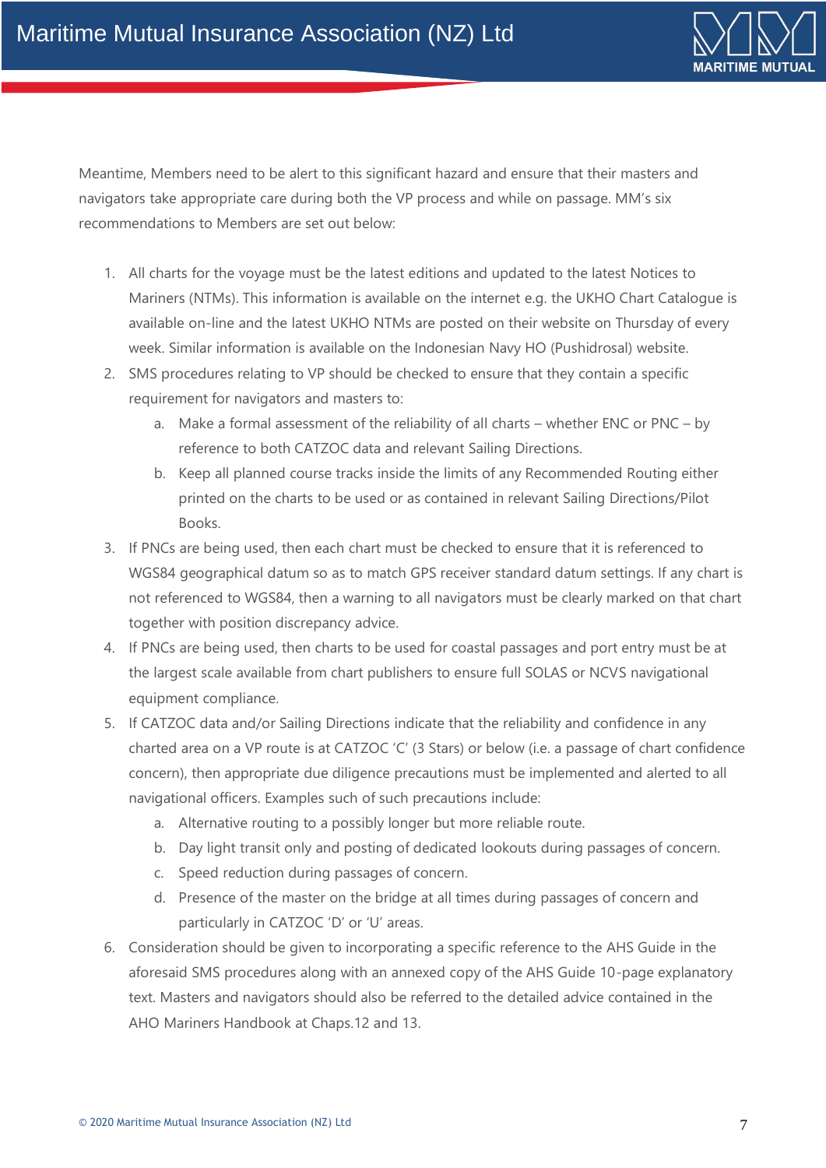

Meantime, Members need to be alert to this significant hazard and ensure that their masters and navigators take appropriate care during both the VP process and while on passage. MM's six recommendations to Members are set out below:

- 1. All charts for the voyage must be the latest editions and updated to the latest Notices to Mariners (NTMs). This information is available on the internet e.g. the UKHO Chart Catalogue is available on-line and the latest UKHO NTMs are posted on their website on Thursday of every week. Similar information is available on the Indonesian Navy HO (Pushidrosal) website.
- 2. SMS procedures relating to VP should be checked to ensure that they contain a specific requirement for navigators and masters to:
	- a. Make a formal assessment of the reliability of all charts whether ENC or PNC by reference to both CATZOC data and relevant Sailing Directions.
	- b. Keep all planned course tracks inside the limits of any Recommended Routing either printed on the charts to be used or as contained in relevant Sailing Directions/Pilot Books.
- 3. If PNCs are being used, then each chart must be checked to ensure that it is referenced to WGS84 geographical datum so as to match GPS receiver standard datum settings. If any chart is not referenced to WGS84, then a warning to all navigators must be clearly marked on that chart together with position discrepancy advice.
- 4. If PNCs are being used, then charts to be used for coastal passages and port entry must be at the largest scale available from chart publishers to ensure full SOLAS or NCVS navigational equipment compliance.
- 5. If CATZOC data and/or Sailing Directions indicate that the reliability and confidence in any charted area on a VP route is at CATZOC 'C' (3 Stars) or below (i.e. a passage of chart confidence concern), then appropriate due diligence precautions must be implemented and alerted to all navigational officers. Examples such of such precautions include:
	- a. Alternative routing to a possibly longer but more reliable route.
	- b. Day light transit only and posting of dedicated lookouts during passages of concern.
	- c. Speed reduction during passages of concern.
	- d. Presence of the master on the bridge at all times during passages of concern and particularly in CATZOC 'D' or 'U' areas.
- 6. Consideration should be given to incorporating a specific reference to the AHS Guide in the aforesaid SMS procedures along with an annexed copy of the AHS Guide 10-page explanatory text. Masters and navigators should also be referred to the detailed advice contained in the AHO Mariners Handbook at Chaps.12 and 13.